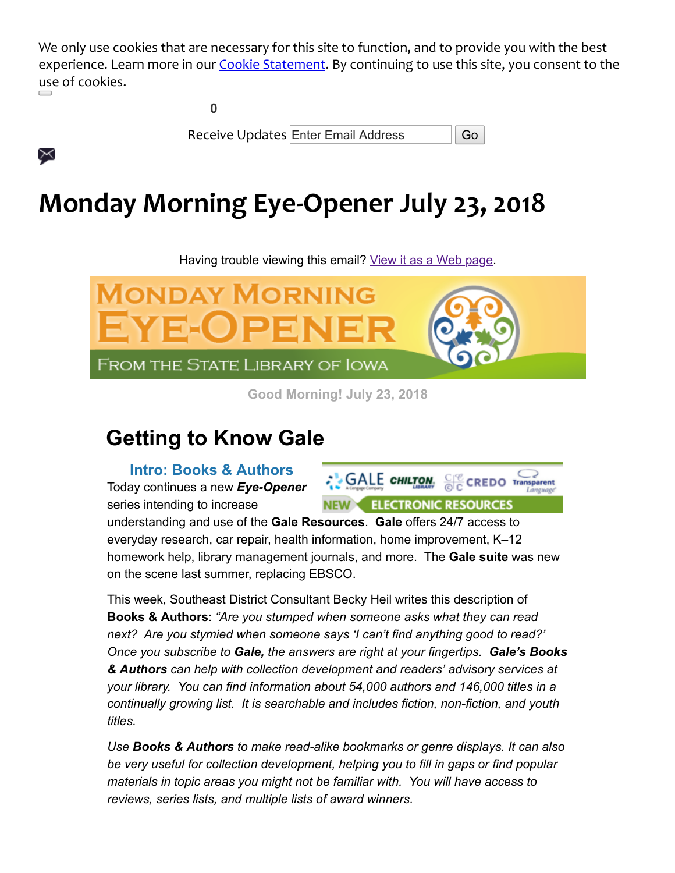We only use cookies that are necessary for this site to function, and to provide you with the best experience. Learn more in our [Cookie Statement](https://insights.govdelivery.com/Communications/Subscriber_Help_Center/Browser_cookies). By continuing to use this site, you consent to the use of cookies.

**0**

X

Receive Updates Enter Email Address | Go

# **Monday Morning Eye-Opener July 23, 2018**

Having trouble viewing this email? [View it as a Web page.](https://content.govdelivery.com/accounts/IACIO/bulletins/2009b7e)



**Good Morning! July 23, 2018**

# **Getting to Know Gale**

**Intro: Books & Authors** Today continues a new *Eye-Opener* series intending to increase



understanding and use of the **Gale Resources**. **Gale** offers 24/7 access to everyday research, car repair, health information, home improvement, K–12 homework help, library management journals, and more. The **Gale suite** was new on the scene last summer, replacing EBSCO.

This week, Southeast District Consultant Becky Heil writes this description of **Books & Authors**: *"Are you stumped when someone asks what they can read next? Are you stymied when someone says 'I can't find anything good to read?' Once you subscribe to Gale, the answers are right at your fingertips. Gale's Books & Authors can help with collection development and readers' advisory services at your library. You can find information about 54,000 authors and 146,000 titles in a continually growing list. It is searchable and includes fiction, non-fiction, and youth titles.* 

*Use Books & Authors to make read-alike bookmarks or genre displays. It can also be very useful for collection development, helping you to fill in gaps or find popular materials in topic areas you might not be familiar with. You will have access to reviews, series lists, and multiple lists of award winners.*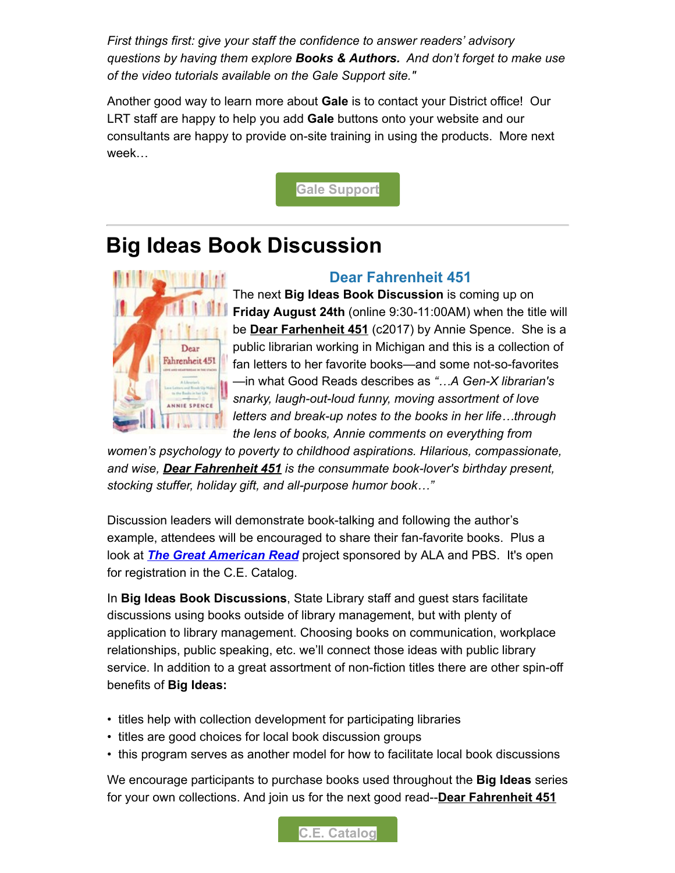*First things first: give your staff the confidence to answer readers' advisory questions by having them explore Books & Authors. And don't forget to make use of the video tutorials available on the Gale Support site."* 

Another good way to learn more about **Gale** is to contact your District office! Our LRT staff are happy to help you add **Gale** buttons onto your website and our consultants are happy to provide on-site training in using the products. More next week…

**[Gale Support](https://support.gale.com/training/videos/bna?utm_medium=email&utm_source=govdelivery)**

## **Big Ideas Book Discussion**



#### **Dear Fahrenheit 451**

The next **Big Ideas Book Discussion** is coming up on **Friday August 24th** (online 9:30-11:00AM) when the title will be **Dear Farhenheit 451** (c2017) by Annie Spence. She is a public librarian working in Michigan and this is a collection of fan letters to her favorite books—and some not-so-favorites —in what Good Reads describes as *"…A Gen-X librarian's snarky, laugh-out-loud funny, moving assortment of love letters and break-up notes to the books in her life…through the lens of books, Annie comments on everything from*

*women's psychology to poverty to childhood aspirations. Hilarious, compassionate, and wise, Dear Fahrenheit 451 is the consummate book-lover's birthday present, stocking stuffer, holiday gift, and all-purpose humor book…"*

Discussion leaders will demonstrate book-talking and following the author's example, attendees will be encouraged to share their fan-favorite books. Plus a look at *[The Great American Read](https://www.pbs.org/the-great-american-read/home/?utm_medium=email&utm_source=govdelivery)* project sponsored by ALA and PBS. It's open for registration in the C.E. Catalog.

In **Big Ideas Book Discussions**, State Library staff and guest stars facilitate discussions using books outside of library management, but with plenty of application to library management. Choosing books on communication, workplace relationships, public speaking, etc. we'll connect those ideas with public library service. In addition to a great assortment of non-fiction titles there are other spin-off benefits of **Big Ideas:**

- titles help with collection development for participating libraries
- titles are good choices for local book discussion groups
- this program serves as another model for how to facilitate local book discussions

We encourage participants to purchase books used throughout the **Big Ideas** series for your own collections. And join us for the next good read--**Dear Fahrenheit 451**

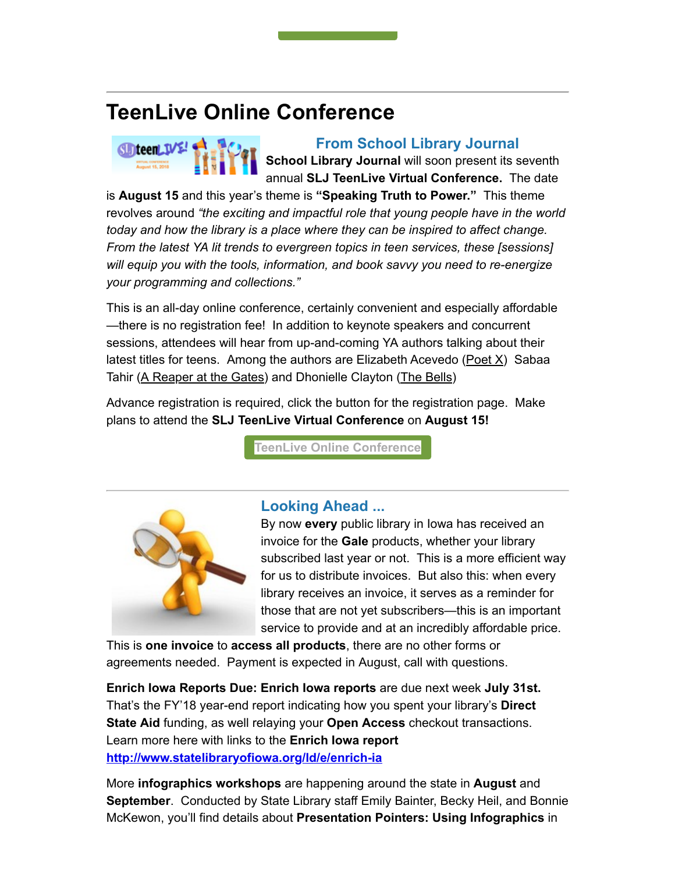### **TeenLive Online Conference**



#### **From School Library Journal**

**School Library Journal** will soon present its seventh annual **SLJ TeenLive Virtual Conference.** The date

is **August 15** and this year's theme is **"Speaking Truth to Power."** This theme revolves around *"the exciting and impactful role that young people have in the world today and how the library is a place where they can be inspired to affect change. From the latest YA lit trends to evergreen topics in teen services, these [sessions] will equip you with the tools, information, and book savvy you need to re-energize your programming and collections."*

This is an all-day online conference, certainly convenient and especially affordable —there is no registration fee! In addition to keynote speakers and concurrent sessions, attendees will hear from up-and-coming YA authors talking about their latest titles for teens. Among the authors are Elizabeth Acevedo ( $Poet X$ ) Sabaa Tahir (A Reaper at the Gates) and Dhonielle Clayton (The Bells)

Advance registration is required, click the button for the registration page. Make plans to attend the **SLJ TeenLive Virtual Conference** on **August 15!**

**[TeenLive Online Conference](https://vshow.on24.com/vshow/SLJTeen2018/registration/15322?utm_medium=email&utm_source=govdelivery)**



#### **Looking Ahead ...**

By now **every** public library in Iowa has received an invoice for the **Gale** products, whether your library subscribed last year or not. This is a more efficient way for us to distribute invoices. But also this: when every library receives an invoice, it serves as a reminder for those that are not yet subscribers—this is an important service to provide and at an incredibly affordable price.

This is **one invoice** to **access all products**, there are no other forms or agreements needed. Payment is expected in August, call with questions.

**Enrich Iowa Reports Due: Enrich Iowa reports** are due next week **July 31st.** That's the FY'18 year-end report indicating how you spent your library's **Direct State Aid** funding, as well relaying your **Open Access** checkout transactions. Learn more here with links to the **Enrich Iowa report [http://www.statelibraryofiowa.org/ld/e/enrich-ia](http://www.statelibraryofiowa.org/ld/e/enrich-ia?utm_medium=email&utm_source=govdelivery)**

More **infographics workshops** are happening around the state in **August** and **September**. Conducted by State Library staff Emily Bainter, Becky Heil, and Bonnie McKewon, you'll find details about **Presentation Pointers: Using Infographics** in